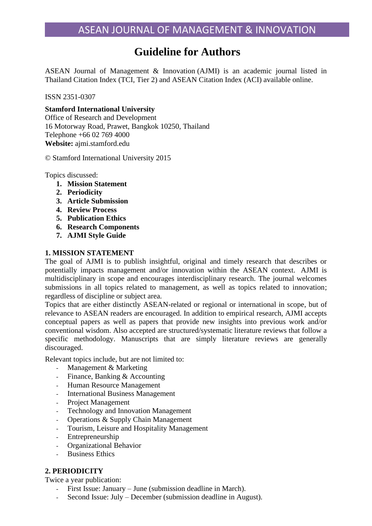# **Guideline for Authors**

ASEAN Journal of Management & Innovation (AJMI) is an academic journal listed in Thailand Citation Index (TCI, Tier 2) and ASEAN Citation Index (ACI) available online.

ISSN 2351-0307

### **Stamford International University**

Office of Research and Development 16 Motorway Road, Prawet, Bangkok 10250, Thailand Telephone +66 02 769 4000 **Website:** ajmi.stamford.edu

© Stamford International University 2015

Topics discussed:

- **1. Mission Statement**
- **2. Periodicity**
- **3. Article Submission**
- **4. Review Process**
- **5. Publication Ethics**
- **6. Research Components**
- **7. AJMI Style Guide**

#### **1. MISSION STATEMENT**

The goal of AJMI is to publish insightful, original and timely research that describes or potentially impacts management and/or innovation within the ASEAN context. AJMI is multidisciplinary in scope and encourages interdisciplinary research. The journal welcomes submissions in all topics related to management, as well as topics related to innovation; regardless of discipline or subject area.

Topics that are either distinctly ASEAN-related or regional or international in scope, but of relevance to ASEAN readers are encouraged. In addition to empirical research, AJMI accepts conceptual papers as well as papers that provide new insights into previous work and/or conventional wisdom. Also accepted are structured/systematic literature reviews that follow a specific methodology. Manuscripts that are simply literature reviews are generally discouraged.

Relevant topics include, but are not limited to:

- Management & Marketing
- Finance, Banking & Accounting
- Human Resource Management
- International Business Management
- Project Management
- Technology and Innovation Management
- Operations & Supply Chain Management
- Tourism, Leisure and Hospitality Management
- Entrepreneurship
- Organizational Behavior
- **Business Ethics**

### **2. PERIODICITY**

Twice a year publication:

- First Issue: January June (submission deadline in March).
- Second Issue: July December (submission deadline in August).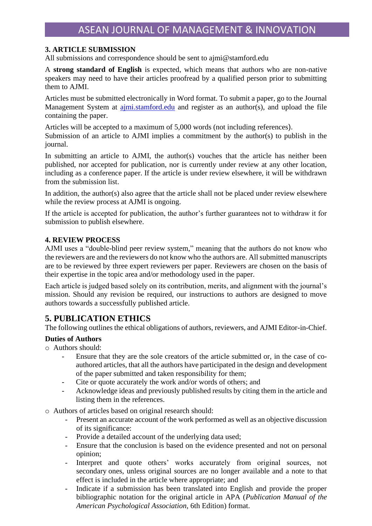## **3. ARTICLE SUBMISSION**

All submissions and correspondence should be sent to [ajmi@stamford.edu](mailto:ajmi@stamford.edu)

A **strong standard of English** is expected, which means that authors who are non-native speakers may need to have their articles proofread by a qualified person prior to submitting them to AJMI.

Articles must be submitted electronically in Word format. To submit a paper, go to the Journal Management System at ajmi.stamford.edu and register as an author(s), and upload the file containing the paper.

Articles will be accepted to a maximum of 5,000 words (not including references). Submission of an article to AJMI implies a commitment by the author(s) to publish in the journal.

In submitting an article to AJMI, the author(s) vouches that the article has neither been published, nor accepted for publication, nor is currently under review at any other location, including as a conference paper. If the article is under review elsewhere, it will be withdrawn from the submission list.

In addition, the author(s) also agree that the article shall not be placed under review elsewhere while the review process at AJMI is ongoing.

If the article is accepted for publication, the author's further guarantees not to withdraw it for submission to publish elsewhere.

### **4. REVIEW PROCESS**

AJMI uses a "double-blind peer review system," meaning that the authors do not know who the reviewers are and the reviewers do not know who the authors are. All submitted manuscripts are to be reviewed by three expert reviewers per paper. Reviewers are chosen on the basis of their expertise in the topic area and/or methodology used in the paper.

Each article is judged based solely on its contribution, merits, and alignment with the journal's mission. Should any revision be required, our instructions to authors are designed to move authors towards a successfully published article.

## **5. PUBLICATION ETHICS**

The following outlines the ethical obligations of authors, reviewers, and AJMI Editor-in-Chief.

### **Duties of Authors**

- o Authors should:
	- Ensure that they are the sole creators of the article submitted or, in the case of coauthored articles, that all the authors have participated in the design and development of the paper submitted and taken responsibility for them;
	- Cite or quote accurately the work and/or words of others; and
	- Acknowledge ideas and previously published results by citing them in the article and listing them in the references.

o Authors of articles based on original research should:

- Present an accurate account of the work performed as well as an objective discussion of its significance:
- Provide a detailed account of the underlying data used;
- Ensure that the conclusion is based on the evidence presented and not on personal opinion;
- Interpret and quote others' works accurately from original sources, not secondary ones, unless original sources are no longer available and a note to that effect is included in the article where appropriate; and
- Indicate if a submission has been translated into English and provide the proper bibliographic notation for the original article in APA (*Publication Manual of the American Psychological Association*, 6th Edition) format.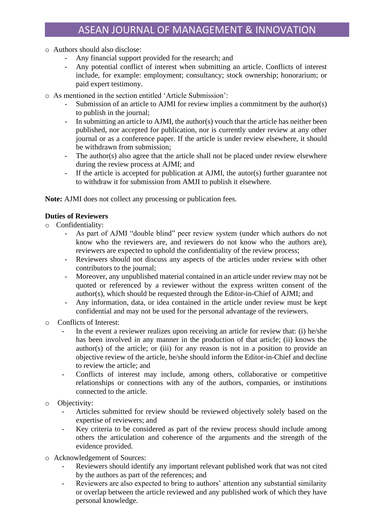- o Authors should also disclose:
	- Any financial support provided for the research; and
	- Any potential conflict of interest when submitting an article. Conflicts of interest include, for example: employment; consultancy; stock ownership; honorarium; or paid expert testimony.
- o As mentioned in the section entitled 'Article Submission':
	- Submission of an article to AJMI for review implies a commitment by the author(s) to publish in the journal;
	- In submitting an article to AJMI, the author(s) vouch that the article has neither been published, nor accepted for publication, nor is currently under review at any other journal or as a conference paper. If the article is under review elsewhere, it should be withdrawn from submission;
	- The author(s) also agree that the article shall not be placed under review elsewhere during the review process at AJMI; and
	- If the article is accepted for publication at AJMI, the autor(s) further guarantee not to withdraw it for submission from AMJI to publish it elsewhere.

**Note:** AJMI does not collect any processing or publication fees.

#### **Duties of Reviewers**

- o Confidentiality:
	- As part of AJMI "double blind" peer review system (under which authors do not know who the reviewers are, and reviewers do not know who the authors are), reviewers are expected to uphold the confidentiality of the review process;
	- Reviewers should not discuss any aspects of the articles under review with other contributors to the journal;
	- Moreover, any unpublished material contained in an article under review may not be quoted or referenced by a reviewer without the express written consent of the author(s), which should be requested through the Editor-in-Chief of AJMI; and
	- Any information, data, or idea contained in the article under review must be kept confidential and may not be used for the personal advantage of the reviewers.
- o Conflicts of Interest:
	- In the event a reviewer realizes upon receiving an article for review that: (i) he/she has been involved in any manner in the production of that article; (ii) knows the author(s) of the article; or (iii) for any reason is not in a position to provide an objective review of the article, he/she should inform the Editor-in-Chief and decline to review the article; and
	- Conflicts of interest may include, among others, collaborative or competitive relationships or connections with any of the authors, companies, or institutions connected to the article.
- o Objectivity:
	- Articles submitted for review should be reviewed objectively solely based on the expertise of reviewers; and
	- Key criteria to be considered as part of the review process should include among others the articulation and coherence of the arguments and the strength of the evidence provided.
- o Acknowledgement of Sources:
	- Reviewers should identify any important relevant published work that was not cited by the authors as part of the references; and
	- Reviewers are also expected to bring to authors' attention any substantial similarity or overlap between the article reviewed and any published work of which they have personal knowledge.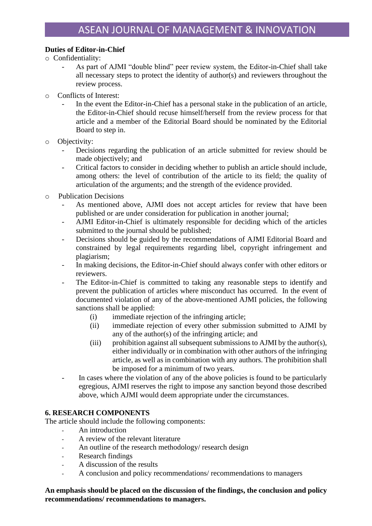## **Duties of Editor-in-Chief**

- o Confidentiality:
	- As part of AJMI "double blind" peer review system, the Editor-in-Chief shall take all necessary steps to protect the identity of author(s) and reviewers throughout the review process.
- o Conflicts of Interest:
	- In the event the Editor-in-Chief has a personal stake in the publication of an article, the Editor-in-Chief should recuse himself/herself from the review process for that article and a member of the Editorial Board should be nominated by the Editorial Board to step in.
- o Objectivity:
	- Decisions regarding the publication of an article submitted for review should be made objectively; and
	- Critical factors to consider in deciding whether to publish an article should include, among others: the level of contribution of the article to its field; the quality of articulation of the arguments; and the strength of the evidence provided.
- o Publication Decisions
	- As mentioned above, AJMI does not accept articles for review that have been published or are under consideration for publication in another journal;
	- AJMI Editor-in-Chief is ultimately responsible for deciding which of the articles submitted to the journal should be published;
	- Decisions should be guided by the recommendations of AJMI Editorial Board and constrained by legal requirements regarding libel, copyright infringement and plagiarism;
	- In making decisions, the Editor-in-Chief should always confer with other editors or reviewers.
	- The Editor-in-Chief is committed to taking any reasonable steps to identify and prevent the publication of articles where misconduct has occurred. In the event of documented violation of any of the above-mentioned AJMI policies, the following sanctions shall be applied:
		- (i) immediate rejection of the infringing article;
		- (ii) immediate rejection of every other submission submitted to AJMI by any of the author(s) of the infringing article; and
		- (iii) prohibition against all subsequent submissions to AJMI by the author(s), either individually or in combination with other authors of the infringing article, as well as in combination with any authors. The prohibition shall be imposed for a minimum of two years.
	- In cases where the violation of any of the above policies is found to be particularly egregious, AJMI reserves the right to impose any sanction beyond those described above, which AJMI would deem appropriate under the circumstances.

### **6. RESEARCH COMPONENTS**

The article should include the following components:

- An introduction
- A review of the relevant literature
- An outline of the research methodology/ research design
- Research findings
- A discussion of the results
- A conclusion and policy recommendations/ recommendations to managers

### **An emphasis should be placed on the discussion of the findings, the conclusion and policy recommendations/ recommendations to managers.**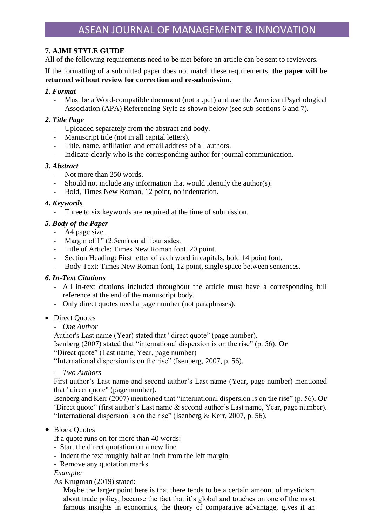## **7. AJMI STYLE GUIDE**

All of the following requirements need to be met before an article can be sent to reviewers.

If the formatting of a submitted paper does not match these requirements, **the paper will be returned without review for correction and re-submission.**

### *1. Format*

- Must be a Word-compatible document (not a .pdf) and use the [American Psychological](http://www.apa.org/)  [Association](http://www.apa.org/) (APA) Referencing Style as shown below (see sub-sections 6 and 7).

## *2. Title Page*

- Uploaded separately from the abstract and body.
- Manuscript title (not in all capital letters).
- Title, name, affiliation and email address of all authors.
- Indicate clearly who is the corresponding author for journal communication.

## *3. Abstract*

- Not more than 250 words.
- Should not include any information that would identify the author(s).
- Bold, Times New Roman, 12 point, no indentation.

## *4. Keywords*

Three to six keywords are required at the time of submission.

## *5. Body of the Paper*

## - A4 page size.

- Margin of 1" (2.5cm) on all four sides.
- Title of Article: Times New Roman font, 20 point.
- Section Heading: First letter of each word in capitals, bold 14 point font.
- Body Text: Times New Roman font, 12 point, single space between sentences.

## *6. In-Text Citations*

- All in-text citations included throughout the article must have a corresponding full reference at the end of the manuscript body.
- Only direct quotes need a page number (not paraphrases).

### • Direct Ouotes

### - *One Author*

Author's Last name (Year) stated that "direct quote" (page number).

Isenberg (2007) stated that "international dispersion is on the rise" (p. 56). **Or**

"Direct quote" (Last name, Year, page number)

"International dispersion is on the rise" (Isenberg, 2007, p. 56).

### - *Two Authors*

First author's Last name and second author's Last name (Year, page number) mentioned that "direct quote" (page number).

Isenberg and Kerr (2007) mentioned that "international dispersion is on the rise" (p. 56). **Or** 'Direct quote" (first author's Last name & second author's Last name, Year, page number). "International dispersion is on the rise" (Isenberg  $&$  Kerr, 2007, p. 56).

## • Block Quotes

- If a quote runs on for more than 40 words:
- Start the direct quotation on a new line
- Indent the text roughly half an inch from the left margin
- Remove any quotation marks

### *Example:*

As Krugman (2019) stated:

Maybe the larger point here is that there tends to be a certain amount of mysticism about trade policy, because the fact that it's global and touches on one of the most famous insights in economics, the theory of comparative advantage, gives it an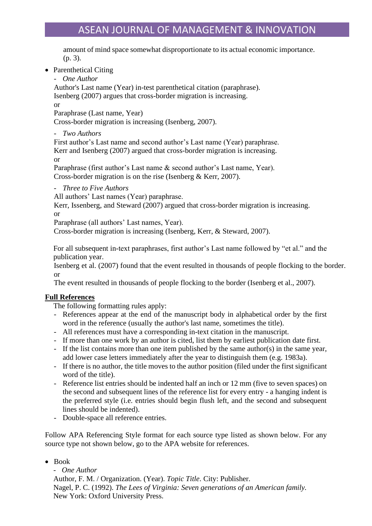amount of mind space somewhat disproportionate to its actual economic importance. (p. 3).

- Parenthetical Citing
	- *One Author*

Author's Last name (Year) in-test parenthetical citation (paraphrase). Isenberg (2007) argues that cross-border migration is increasing.

or

Paraphrase (Last name, Year)

Cross-border migration is increasing (Isenberg, 2007).

- *Two Authors*

First author's Last name and second author's Last name (Year) paraphrase. Kerr and Isenberg (2007) argued that cross-border migration is increasing. or

Paraphrase (first author's Last name & second author's Last name, Year). Cross-border migration is on the rise (Isenberg & Kerr, 2007).

- *Three to Five Authors*

All authors' Last names (Year) paraphrase.

Kerr, Issenberg, and Steward (2007) argued that cross-border migration is increasing. or

Paraphrase (all authors' Last names, Year).

Cross-border migration is increasing (Isenberg, Kerr, & Steward, 2007).

For all subsequent in-text paraphrases, first author's Last name followed by "et al." and the publication year.

Isenberg et al. (2007) found that the event resulted in thousands of people flocking to the border. or

The event resulted in thousands of people flocking to the border (Isenberg et al., 2007).

### **Full References**

The following formatting rules apply:

- References appear at the end of the manuscript body in alphabetical order by the first word in the reference (usually the author's last name, sometimes the title).
- All references must have a corresponding in-text citation in the manuscript.
- If more than one work by an author is cited, list them by earliest publication date first.
- If the list contains more than one item published by the same author(s) in the same year, add lower case letters immediately after the year to distinguish them (e.g. 1983a).
- If there is no author, the title moves to the author position (filed under the first significant word of the title).
- Reference list entries should be indented half an inch or 12 mm (five to seven spaces) on the second and subsequent lines of the reference list for every entry - a hanging indent is the preferred style (i.e. entries should begin flush left, and the second and subsequent lines should be indented).
- Double-space all reference entries.

Follow APA Referencing Style format for each source type listed as shown below. For any source type not shown below, go to the APA website for references.

• Book

- *One Author* Author, F. M. / Organization. (Year). *Topic Title*. City: Publisher. Nagel, P. C. (1992). *The Lees of Virginia: Seven generations of an American family.* New York: Oxford University Press.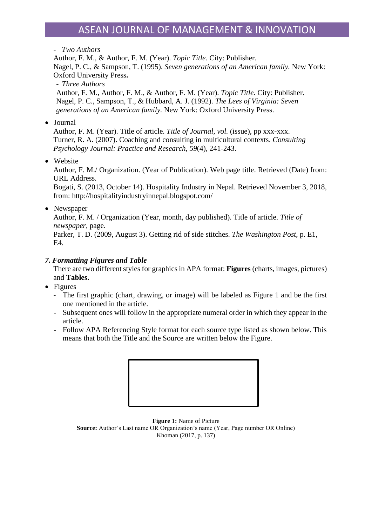#### - *Two Authors*

Author, F. M., & Author, F. M. (Year). *Topic Title*. City: Publisher. Nagel, P. C., & Sampson, T. (1995). *Seven generations of an American family.* New York: Oxford University Press**.** - *Three Authors*

Author, F. M., Author, F. M., & Author, F. M. (Year). *Topic Title*. City: Publisher. Nagel, P. C., Sampson, T., & Hubbard, A. J. (1992). *The Lees of Virginia: Seven generations of an American family.* New York: Oxford University Press.

• Journal

Author, F. M. (Year). Title of article. *Title of Journal*, *vol.* (issue), pp xxx-xxx. Turner, R. A. (2007). Coaching and consulting in multicultural contexts. *Consulting Psychology Journal: Practice and Research*, *59*(4), 241-243.

• Website

Author, F. M./ Organization. (Year of Publication). Web page title. Retrieved (Date) from: URL Address.

Bogati, S. (2013, October 14). Hospitality Industry in Nepal. Retrieved November 3, 2018, from: http://hospitalityindustryinnepal.blogspot.com/

• Newspaper

Author, F. M. / Organization (Year, month, day published). Title of article. *Title of newspaper*, page.

Parker, T. D. (2009, August 3). Getting rid of side stitches. *The Washington Post*, p. E1, E4.

## *7. Formatting Figures and Table*

There are two different styles for graphics in APA format: **Figures** (charts, images, pictures) and **Tables.**

- Figures
	- The first graphic (chart, drawing, or image) will be labeled as Figure 1 and be the first one mentioned in the article.
	- Subsequent ones will follow in the appropriate numeral order in which they appear in the article.
	- Follow APA Referencing Style format for each source type listed as shown below. This means that both the Title and the Source are written below the Figure.



**Figure 1:** Name of Picture **Source:** Author's Last name OR Organization's name (Year, Page number OR Online) Khoman (2017, p. 137)